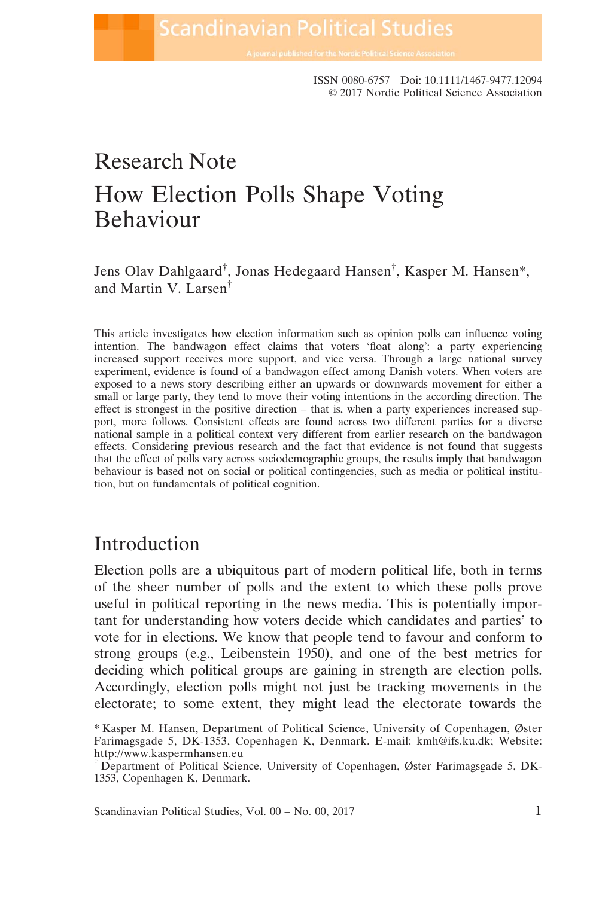ISSN 0080-6757 Doi: 10.1111/1467-9477.12094 © 2017 Nordic Political Science Association

# Research Note How Election Polls Shape Voting Behaviour

Jens Olav Dahlgaard† , Jonas Hedegaard Hansen† , Kasper M. Hansen\*, and Martin V. Larsen†

This article investigates how election information such as opinion polls can influence voting intention. The bandwagon effect claims that voters 'float along': a party experiencing increased support receives more support, and vice versa. Through a large national survey experiment, evidence is found of a bandwagon effect among Danish voters. When voters are exposed to a news story describing either an upwards or downwards movement for either a small or large party, they tend to move their voting intentions in the according direction. The effect is strongest in the positive direction – that is, when a party experiences increased support, more follows. Consistent effects are found across two different parties for a diverse national sample in a political context very different from earlier research on the bandwagon effects. Considering previous research and the fact that evidence is not found that suggests that the effect of polls vary across sociodemographic groups, the results imply that bandwagon behaviour is based not on social or political contingencies, such as media or political institution, but on fundamentals of political cognition.

### Introduction

Election polls are a ubiquitous part of modern political life, both in terms of the sheer number of polls and the extent to which these polls prove useful in political reporting in the news media. This is potentially important for understanding how voters decide which candidates and parties' to vote for in elections. We know that people tend to favour and conform to strong groups (e.g., Leibenstein 1950), and one of the best metrics for deciding which political groups are gaining in strength are election polls. Accordingly, election polls might not just be tracking movements in the electorate; to some extent, they might lead the electorate towards the

Scandinavian Political Studies, Vol. 00 – No. 00, 2017 1

<sup>\*</sup> Kasper M. Hansen, Department of Political Science, University of Copenhagen, Øster Farimagsgade 5, DK-1353, Copenhagen K, Denmark. E-mail: kmh@ifs.ku.dk; Website: http://www.kaspermhansen.eu

<sup>†</sup> Department of Political Science, University of Copenhagen, Øster Farimagsgade 5, DK-1353, Copenhagen K, Denmark.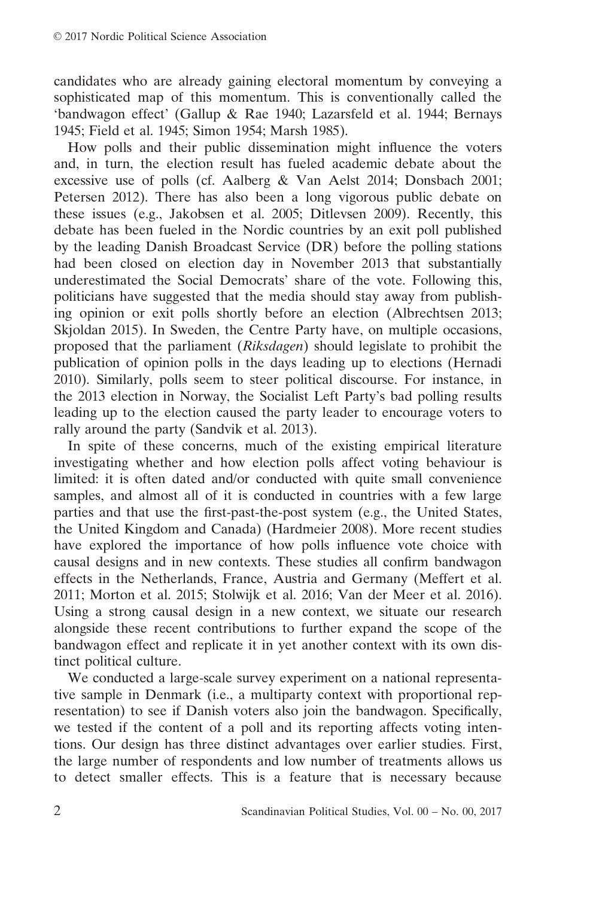candidates who are already gaining electoral momentum by conveying a sophisticated map of this momentum. This is conventionally called the 'bandwagon effect' (Gallup & Rae 1940; Lazarsfeld et al. 1944; Bernays 1945; Field et al. 1945; Simon 1954; Marsh 1985).

How polls and their public dissemination might influence the voters and, in turn, the election result has fueled academic debate about the excessive use of polls (cf. Aalberg & Van Aelst 2014; Donsbach 2001; Petersen 2012). There has also been a long vigorous public debate on these issues (e.g., Jakobsen et al. 2005; Ditlevsen 2009). Recently, this debate has been fueled in the Nordic countries by an exit poll published by the leading Danish Broadcast Service (DR) before the polling stations had been closed on election day in November 2013 that substantially underestimated the Social Democrats' share of the vote. Following this, politicians have suggested that the media should stay away from publishing opinion or exit polls shortly before an election (Albrechtsen 2013; Skjoldan 2015). In Sweden, the Centre Party have, on multiple occasions, proposed that the parliament (Riksdagen) should legislate to prohibit the publication of opinion polls in the days leading up to elections (Hernadi 2010). Similarly, polls seem to steer political discourse. For instance, in the 2013 election in Norway, the Socialist Left Party's bad polling results leading up to the election caused the party leader to encourage voters to rally around the party (Sandvik et al. 2013).

In spite of these concerns, much of the existing empirical literature investigating whether and how election polls affect voting behaviour is limited: it is often dated and/or conducted with quite small convenience samples, and almost all of it is conducted in countries with a few large parties and that use the first-past-the-post system (e.g., the United States, the United Kingdom and Canada) (Hardmeier 2008). More recent studies have explored the importance of how polls influence vote choice with causal designs and in new contexts. These studies all confirm bandwagon effects in the Netherlands, France, Austria and Germany (Meffert et al. 2011; Morton et al. 2015; Stolwijk et al. 2016; Van der Meer et al. 2016). Using a strong causal design in a new context, we situate our research alongside these recent contributions to further expand the scope of the bandwagon effect and replicate it in yet another context with its own distinct political culture.

We conducted a large-scale survey experiment on a national representative sample in Denmark (i.e., a multiparty context with proportional representation) to see if Danish voters also join the bandwagon. Specifically, we tested if the content of a poll and its reporting affects voting intentions. Our design has three distinct advantages over earlier studies. First, the large number of respondents and low number of treatments allows us to detect smaller effects. This is a feature that is necessary because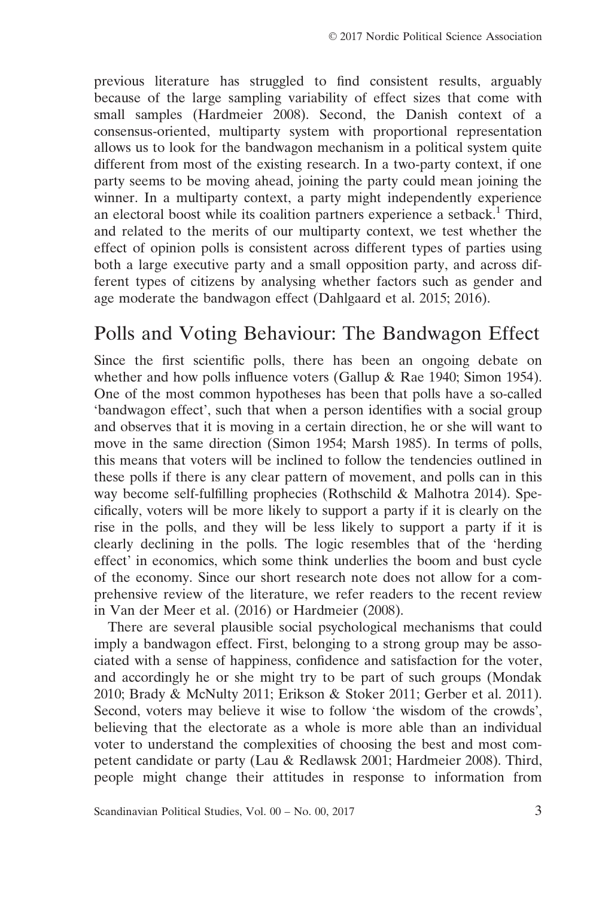previous literature has struggled to find consistent results, arguably because of the large sampling variability of effect sizes that come with small samples (Hardmeier 2008). Second, the Danish context of a consensus-oriented, multiparty system with proportional representation allows us to look for the bandwagon mechanism in a political system quite different from most of the existing research. In a two-party context, if one party seems to be moving ahead, joining the party could mean joining the winner. In a multiparty context, a party might independently experience an electoral boost while its coalition partners experience a setback.<sup>1</sup> Third, and related to the merits of our multiparty context, we test whether the effect of opinion polls is consistent across different types of parties using both a large executive party and a small opposition party, and across different types of citizens by analysing whether factors such as gender and age moderate the bandwagon effect (Dahlgaard et al. 2015; 2016).

## Polls and Voting Behaviour: The Bandwagon Effect

Since the first scientific polls, there has been an ongoing debate on whether and how polls influence voters (Gallup & Rae 1940; Simon 1954). One of the most common hypotheses has been that polls have a so-called 'bandwagon effect', such that when a person identifies with a social group and observes that it is moving in a certain direction, he or she will want to move in the same direction (Simon 1954; Marsh 1985). In terms of polls, this means that voters will be inclined to follow the tendencies outlined in these polls if there is any clear pattern of movement, and polls can in this way become self-fulfilling prophecies (Rothschild & Malhotra 2014). Specifically, voters will be more likely to support a party if it is clearly on the rise in the polls, and they will be less likely to support a party if it is clearly declining in the polls. The logic resembles that of the 'herding effect' in economics, which some think underlies the boom and bust cycle of the economy. Since our short research note does not allow for a comprehensive review of the literature, we refer readers to the recent review in Van der Meer et al. (2016) or Hardmeier (2008).

There are several plausible social psychological mechanisms that could imply a bandwagon effect. First, belonging to a strong group may be associated with a sense of happiness, confidence and satisfaction for the voter, and accordingly he or she might try to be part of such groups (Mondak 2010; Brady & McNulty 2011; Erikson & Stoker 2011; Gerber et al. 2011). Second, voters may believe it wise to follow 'the wisdom of the crowds', believing that the electorate as a whole is more able than an individual voter to understand the complexities of choosing the best and most competent candidate or party (Lau & Redlawsk 2001; Hardmeier 2008). Third, people might change their attitudes in response to information from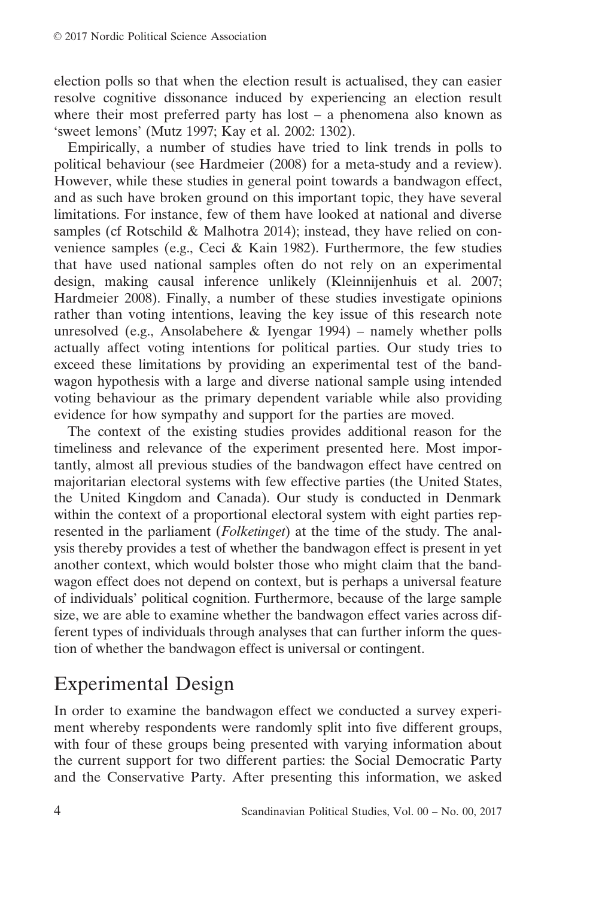election polls so that when the election result is actualised, they can easier resolve cognitive dissonance induced by experiencing an election result where their most preferred party has lost – a phenomena also known as 'sweet lemons' (Mutz 1997; Kay et al. 2002: 1302).

Empirically, a number of studies have tried to link trends in polls to political behaviour (see Hardmeier (2008) for a meta-study and a review). However, while these studies in general point towards a bandwagon effect, and as such have broken ground on this important topic, they have several limitations. For instance, few of them have looked at national and diverse samples (cf Rotschild & Malhotra 2014); instead, they have relied on convenience samples (e.g., Ceci & Kain 1982). Furthermore, the few studies that have used national samples often do not rely on an experimental design, making causal inference unlikely (Kleinnijenhuis et al. 2007; Hardmeier 2008). Finally, a number of these studies investigate opinions rather than voting intentions, leaving the key issue of this research note unresolved (e.g., Ansolabehere  $&$  Iyengar 1994) – namely whether polls actually affect voting intentions for political parties. Our study tries to exceed these limitations by providing an experimental test of the bandwagon hypothesis with a large and diverse national sample using intended voting behaviour as the primary dependent variable while also providing evidence for how sympathy and support for the parties are moved.

The context of the existing studies provides additional reason for the timeliness and relevance of the experiment presented here. Most importantly, almost all previous studies of the bandwagon effect have centred on majoritarian electoral systems with few effective parties (the United States, the United Kingdom and Canada). Our study is conducted in Denmark within the context of a proportional electoral system with eight parties represented in the parliament (Folketinget) at the time of the study. The analysis thereby provides a test of whether the bandwagon effect is present in yet another context, which would bolster those who might claim that the bandwagon effect does not depend on context, but is perhaps a universal feature of individuals' political cognition. Furthermore, because of the large sample size, we are able to examine whether the bandwagon effect varies across different types of individuals through analyses that can further inform the question of whether the bandwagon effect is universal or contingent.

### Experimental Design

In order to examine the bandwagon effect we conducted a survey experiment whereby respondents were randomly split into five different groups, with four of these groups being presented with varying information about the current support for two different parties: the Social Democratic Party and the Conservative Party. After presenting this information, we asked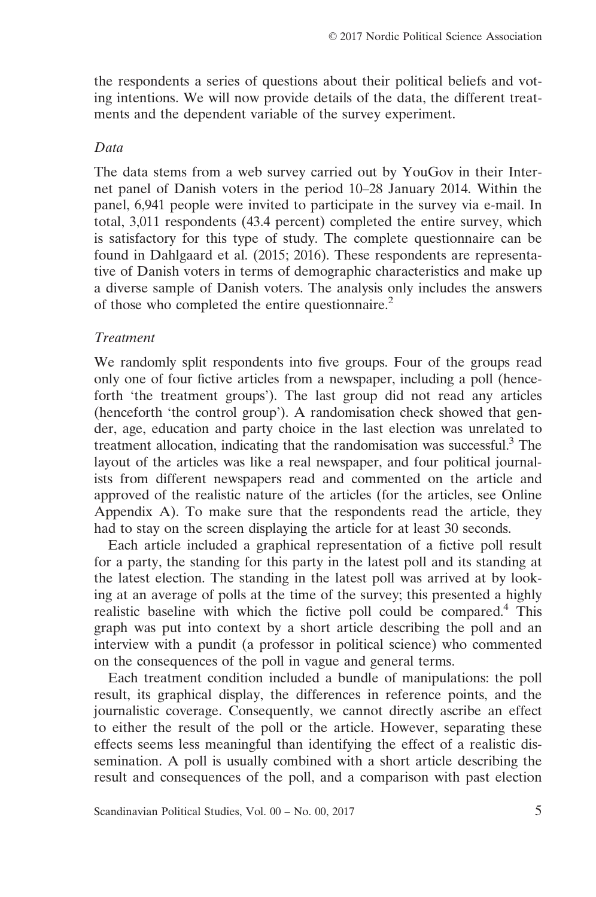the respondents a series of questions about their political beliefs and voting intentions. We will now provide details of the data, the different treatments and the dependent variable of the survey experiment.

#### Data

The data stems from a web survey carried out by YouGov in their Internet panel of Danish voters in the period 10–28 January 2014. Within the panel, 6,941 people were invited to participate in the survey via e-mail. In total, 3,011 respondents (43.4 percent) completed the entire survey, which is satisfactory for this type of study. The complete questionnaire can be found in Dahlgaard et al. (2015; 2016). These respondents are representative of Danish voters in terms of demographic characteristics and make up a diverse sample of Danish voters. The analysis only includes the answers of those who completed the entire questionnaire.2

#### Treatment

We randomly split respondents into five groups. Four of the groups read only one of four fictive articles from a newspaper, including a poll (henceforth 'the treatment groups'). The last group did not read any articles (henceforth 'the control group'). A randomisation check showed that gender, age, education and party choice in the last election was unrelated to treatment allocation, indicating that the randomisation was successful.<sup>3</sup> The layout of the articles was like a real newspaper, and four political journalists from different newspapers read and commented on the article and approved of the realistic nature of the articles (for the articles, see Online Appendix A). To make sure that the respondents read the article, they had to stay on the screen displaying the article for at least 30 seconds.

Each article included a graphical representation of a fictive poll result for a party, the standing for this party in the latest poll and its standing at the latest election. The standing in the latest poll was arrived at by looking at an average of polls at the time of the survey; this presented a highly realistic baseline with which the fictive poll could be compared.<sup>4</sup> This graph was put into context by a short article describing the poll and an interview with a pundit (a professor in political science) who commented on the consequences of the poll in vague and general terms.

Each treatment condition included a bundle of manipulations: the poll result, its graphical display, the differences in reference points, and the journalistic coverage. Consequently, we cannot directly ascribe an effect to either the result of the poll or the article. However, separating these effects seems less meaningful than identifying the effect of a realistic dissemination. A poll is usually combined with a short article describing the result and consequences of the poll, and a comparison with past election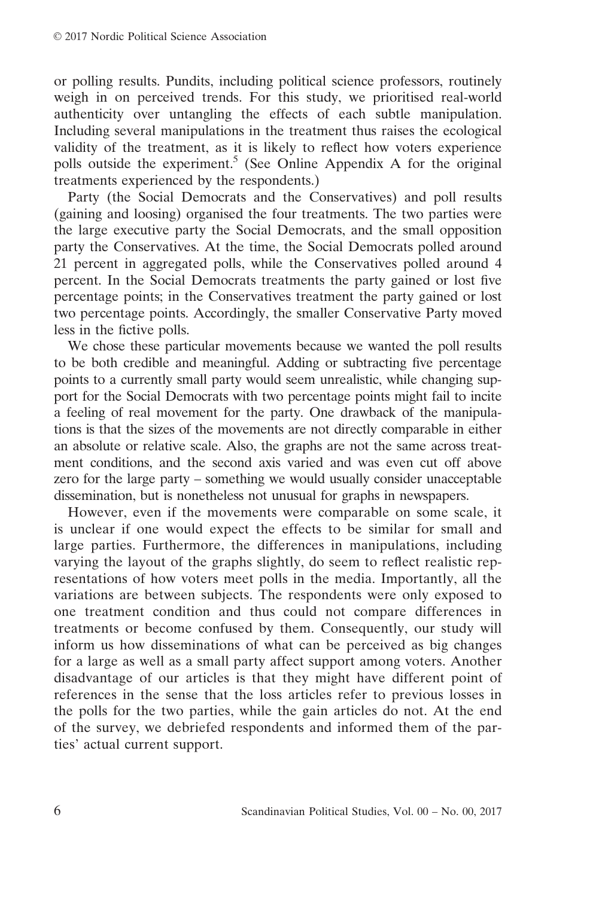or polling results. Pundits, including political science professors, routinely weigh in on perceived trends. For this study, we prioritised real-world authenticity over untangling the effects of each subtle manipulation. Including several manipulations in the treatment thus raises the ecological validity of the treatment, as it is likely to reflect how voters experience polls outside the experiment.5 (See Online Appendix A for the original treatments experienced by the respondents.)

Party (the Social Democrats and the Conservatives) and poll results (gaining and loosing) organised the four treatments. The two parties were the large executive party the Social Democrats, and the small opposition party the Conservatives. At the time, the Social Democrats polled around 21 percent in aggregated polls, while the Conservatives polled around 4 percent. In the Social Democrats treatments the party gained or lost five percentage points; in the Conservatives treatment the party gained or lost two percentage points. Accordingly, the smaller Conservative Party moved less in the fictive polls.

We chose these particular movements because we wanted the poll results to be both credible and meaningful. Adding or subtracting five percentage points to a currently small party would seem unrealistic, while changing support for the Social Democrats with two percentage points might fail to incite a feeling of real movement for the party. One drawback of the manipulations is that the sizes of the movements are not directly comparable in either an absolute or relative scale. Also, the graphs are not the same across treatment conditions, and the second axis varied and was even cut off above zero for the large party – something we would usually consider unacceptable dissemination, but is nonetheless not unusual for graphs in newspapers.

However, even if the movements were comparable on some scale, it is unclear if one would expect the effects to be similar for small and large parties. Furthermore, the differences in manipulations, including varying the layout of the graphs slightly, do seem to reflect realistic representations of how voters meet polls in the media. Importantly, all the variations are between subjects. The respondents were only exposed to one treatment condition and thus could not compare differences in treatments or become confused by them. Consequently, our study will inform us how disseminations of what can be perceived as big changes for a large as well as a small party affect support among voters. Another disadvantage of our articles is that they might have different point of references in the sense that the loss articles refer to previous losses in the polls for the two parties, while the gain articles do not. At the end of the survey, we debriefed respondents and informed them of the parties' actual current support.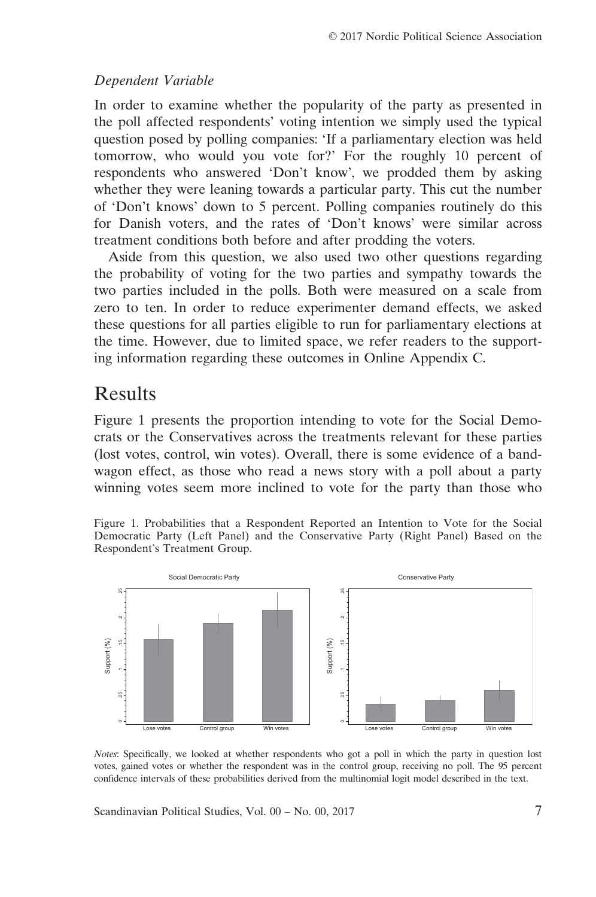#### Dependent Variable

In order to examine whether the popularity of the party as presented in the poll affected respondents' voting intention we simply used the typical question posed by polling companies: 'If a parliamentary election was held tomorrow, who would you vote for?' For the roughly 10 percent of respondents who answered 'Don't know', we prodded them by asking whether they were leaning towards a particular party. This cut the number of 'Don't knows' down to 5 percent. Polling companies routinely do this for Danish voters, and the rates of 'Don't knows' were similar across treatment conditions both before and after prodding the voters.

Aside from this question, we also used two other questions regarding the probability of voting for the two parties and sympathy towards the two parties included in the polls. Both were measured on a scale from zero to ten. In order to reduce experimenter demand effects, we asked these questions for all parties eligible to run for parliamentary elections at the time. However, due to limited space, we refer readers to the supporting information regarding these outcomes in Online Appendix C.

### Results

Figure 1 presents the proportion intending to vote for the Social Democrats or the Conservatives across the treatments relevant for these parties (lost votes, control, win votes). Overall, there is some evidence of a bandwagon effect, as those who read a news story with a poll about a party winning votes seem more inclined to vote for the party than those who





Notes: Specifically, we looked at whether respondents who got a poll in which the party in question lost votes, gained votes or whether the respondent was in the control group, receiving no poll. The 95 percent confidence intervals of these probabilities derived from the multinomial logit model described in the text.

Scandinavian Political Studies, Vol. 00 – No. 00, 2017 7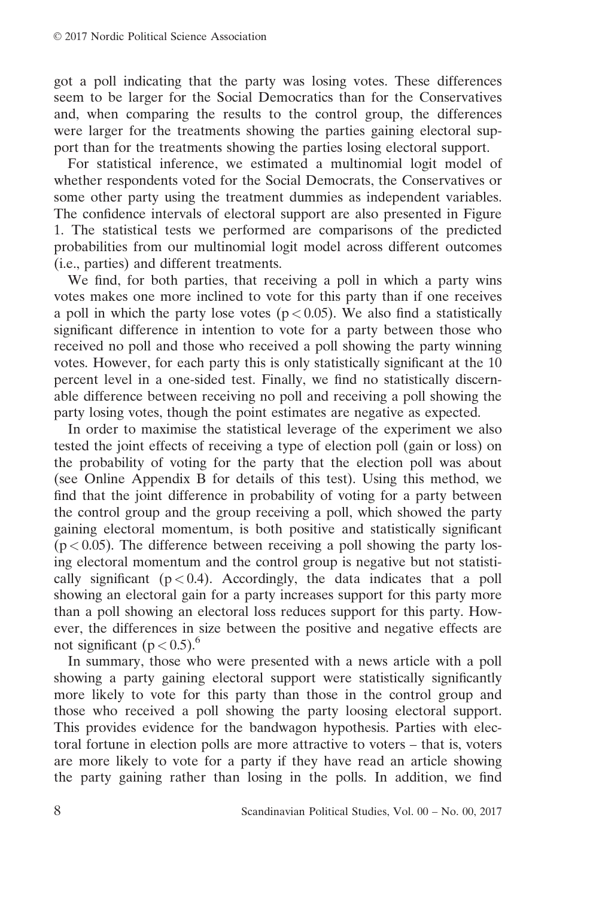got a poll indicating that the party was losing votes. These differences seem to be larger for the Social Democratics than for the Conservatives and, when comparing the results to the control group, the differences were larger for the treatments showing the parties gaining electoral support than for the treatments showing the parties losing electoral support.

For statistical inference, we estimated a multinomial logit model of whether respondents voted for the Social Democrats, the Conservatives or some other party using the treatment dummies as independent variables. The confidence intervals of electoral support are also presented in Figure 1. The statistical tests we performed are comparisons of the predicted probabilities from our multinomial logit model across different outcomes (i.e., parties) and different treatments.

We find, for both parties, that receiving a poll in which a party wins votes makes one more inclined to vote for this party than if one receives a poll in which the party lose votes  $(p < 0.05)$ . We also find a statistically significant difference in intention to vote for a party between those who received no poll and those who received a poll showing the party winning votes. However, for each party this is only statistically significant at the 10 percent level in a one-sided test. Finally, we find no statistically discernable difference between receiving no poll and receiving a poll showing the party losing votes, though the point estimates are negative as expected.

In order to maximise the statistical leverage of the experiment we also tested the joint effects of receiving a type of election poll (gain or loss) on the probability of voting for the party that the election poll was about (see Online Appendix B for details of this test). Using this method, we find that the joint difference in probability of voting for a party between the control group and the group receiving a poll, which showed the party gaining electoral momentum, is both positive and statistically significant  $(p<0.05)$ . The difference between receiving a poll showing the party losing electoral momentum and the control group is negative but not statistically significant  $(p < 0.4)$ . Accordingly, the data indicates that a poll showing an electoral gain for a party increases support for this party more than a poll showing an electoral loss reduces support for this party. However, the differences in size between the positive and negative effects are not significant ( $p < 0.5$ ).<sup>6</sup>

In summary, those who were presented with a news article with a poll showing a party gaining electoral support were statistically significantly more likely to vote for this party than those in the control group and those who received a poll showing the party loosing electoral support. This provides evidence for the bandwagon hypothesis. Parties with electoral fortune in election polls are more attractive to voters – that is, voters are more likely to vote for a party if they have read an article showing the party gaining rather than losing in the polls. In addition, we find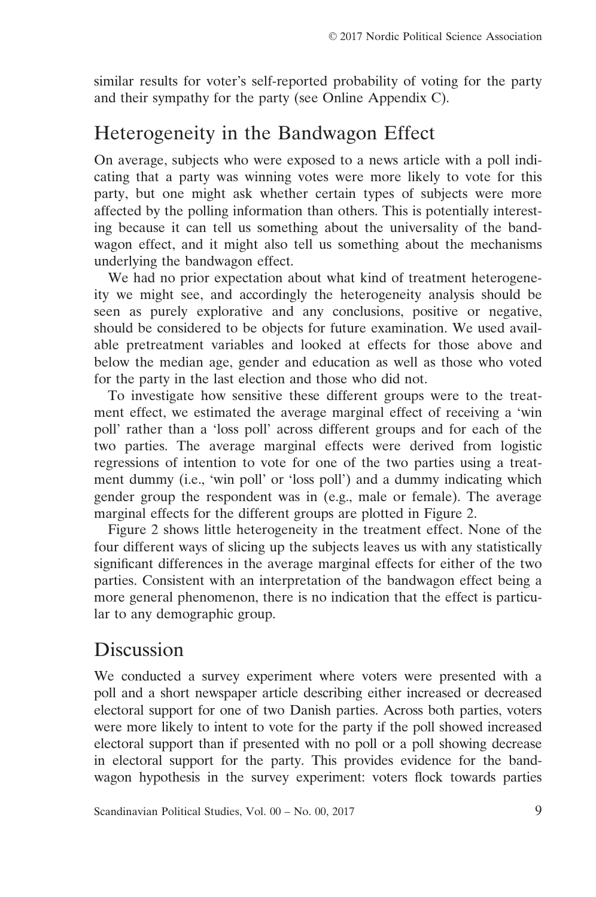similar results for voter's self-reported probability of voting for the party and their sympathy for the party (see Online Appendix C).

### Heterogeneity in the Bandwagon Effect

On average, subjects who were exposed to a news article with a poll indicating that a party was winning votes were more likely to vote for this party, but one might ask whether certain types of subjects were more affected by the polling information than others. This is potentially interesting because it can tell us something about the universality of the bandwagon effect, and it might also tell us something about the mechanisms underlying the bandwagon effect.

We had no prior expectation about what kind of treatment heterogeneity we might see, and accordingly the heterogeneity analysis should be seen as purely explorative and any conclusions, positive or negative, should be considered to be objects for future examination. We used available pretreatment variables and looked at effects for those above and below the median age, gender and education as well as those who voted for the party in the last election and those who did not.

To investigate how sensitive these different groups were to the treatment effect, we estimated the average marginal effect of receiving a 'win poll' rather than a 'loss poll' across different groups and for each of the two parties. The average marginal effects were derived from logistic regressions of intention to vote for one of the two parties using a treatment dummy (i.e., 'win poll' or 'loss poll') and a dummy indicating which gender group the respondent was in (e.g., male or female). The average marginal effects for the different groups are plotted in Figure 2.

Figure 2 shows little heterogeneity in the treatment effect. None of the four different ways of slicing up the subjects leaves us with any statistically significant differences in the average marginal effects for either of the two parties. Consistent with an interpretation of the bandwagon effect being a more general phenomenon, there is no indication that the effect is particular to any demographic group.

#### Discussion

We conducted a survey experiment where voters were presented with a poll and a short newspaper article describing either increased or decreased electoral support for one of two Danish parties. Across both parties, voters were more likely to intent to vote for the party if the poll showed increased electoral support than if presented with no poll or a poll showing decrease in electoral support for the party. This provides evidence for the bandwagon hypothesis in the survey experiment: voters flock towards parties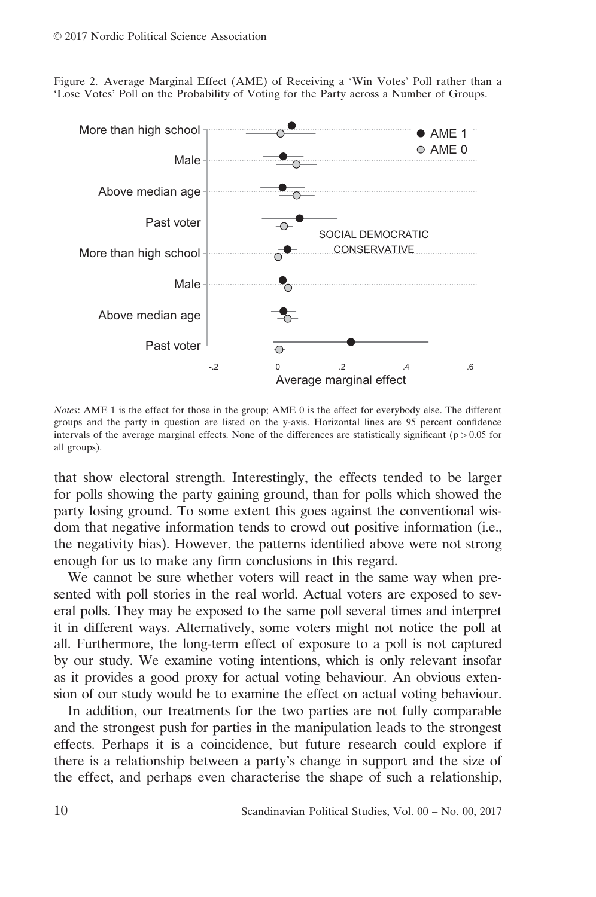Figure 2. Average Marginal Effect (AME) of Receiving a 'Win Votes' Poll rather than a 'Lose Votes' Poll on the Probability of Voting for the Party across a Number of Groups.



Notes: AME 1 is the effect for those in the group; AME 0 is the effect for everybody else. The different groups and the party in question are listed on the y-axis. Horizontal lines are 95 percent confidence intervals of the average marginal effects. None of the differences are statistically significant ( $p > 0.05$  for all groups).

that show electoral strength. Interestingly, the effects tended to be larger for polls showing the party gaining ground, than for polls which showed the party losing ground. To some extent this goes against the conventional wisdom that negative information tends to crowd out positive information (i.e., the negativity bias). However, the patterns identified above were not strong enough for us to make any firm conclusions in this regard.

We cannot be sure whether voters will react in the same way when presented with poll stories in the real world. Actual voters are exposed to several polls. They may be exposed to the same poll several times and interpret it in different ways. Alternatively, some voters might not notice the poll at all. Furthermore, the long-term effect of exposure to a poll is not captured by our study. We examine voting intentions, which is only relevant insofar as it provides a good proxy for actual voting behaviour. An obvious extension of our study would be to examine the effect on actual voting behaviour.

In addition, our treatments for the two parties are not fully comparable and the strongest push for parties in the manipulation leads to the strongest effects. Perhaps it is a coincidence, but future research could explore if there is a relationship between a party's change in support and the size of the effect, and perhaps even characterise the shape of such a relationship,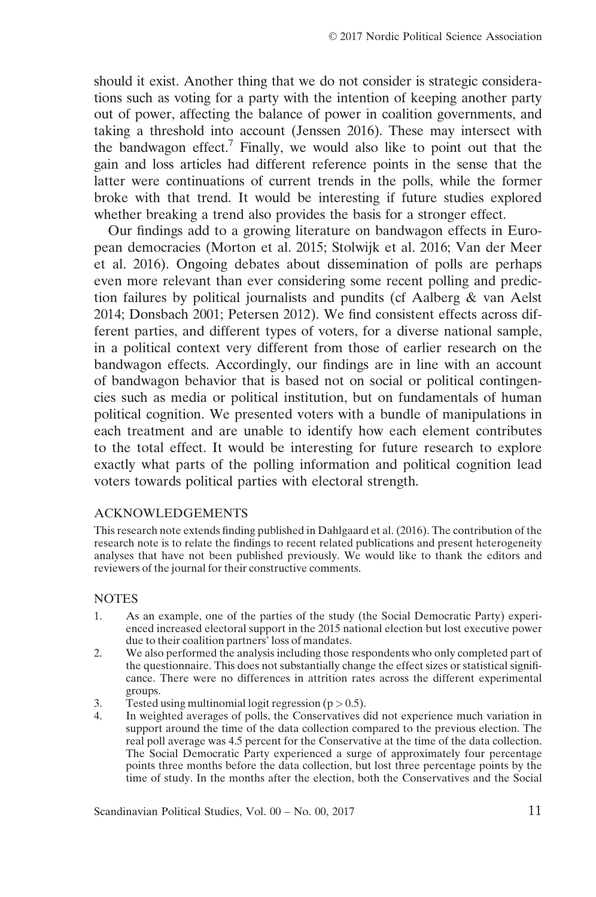should it exist. Another thing that we do not consider is strategic considerations such as voting for a party with the intention of keeping another party out of power, affecting the balance of power in coalition governments, and taking a threshold into account (Jenssen 2016). These may intersect with the bandwagon effect.<sup>7</sup> Finally, we would also like to point out that the gain and loss articles had different reference points in the sense that the latter were continuations of current trends in the polls, while the former broke with that trend. It would be interesting if future studies explored whether breaking a trend also provides the basis for a stronger effect.

Our findings add to a growing literature on bandwagon effects in European democracies (Morton et al. 2015; Stolwijk et al. 2016; Van der Meer et al. 2016). Ongoing debates about dissemination of polls are perhaps even more relevant than ever considering some recent polling and prediction failures by political journalists and pundits (cf Aalberg & van Aelst 2014; Donsbach 2001; Petersen 2012). We find consistent effects across different parties, and different types of voters, for a diverse national sample, in a political context very different from those of earlier research on the bandwagon effects. Accordingly, our findings are in line with an account of bandwagon behavior that is based not on social or political contingencies such as media or political institution, but on fundamentals of human political cognition. We presented voters with a bundle of manipulations in each treatment and are unable to identify how each element contributes to the total effect. It would be interesting for future research to explore exactly what parts of the polling information and political cognition lead voters towards political parties with electoral strength.

#### ACKNOWLEDGEMENTS

This research note extends finding published in Dahlgaard et al. (2016). The contribution of the research note is to relate the findings to recent related publications and present heterogeneity analyses that have not been published previously. We would like to thank the editors and reviewers of the journal for their constructive comments.

#### **NOTES**

- 1. As an example, one of the parties of the study (the Social Democratic Party) experienced increased electoral support in the 2015 national election but lost executive power due to their coalition partners' loss of mandates.
- 2. We also performed the analysis including those respondents who only completed part of the questionnaire. This does not substantially change the effect sizes or statistical significance. There were no differences in attrition rates across the different experimental groups.
- 3. Tested using multinomial logit regression ( $p > 0.5$ ).
- 4. In weighted averages of polls, the Conservatives did not experience much variation in support around the time of the data collection compared to the previous election. The real poll average was 4.5 percent for the Conservative at the time of the data collection. The Social Democratic Party experienced a surge of approximately four percentage points three months before the data collection, but lost three percentage points by the time of study. In the months after the election, both the Conservatives and the Social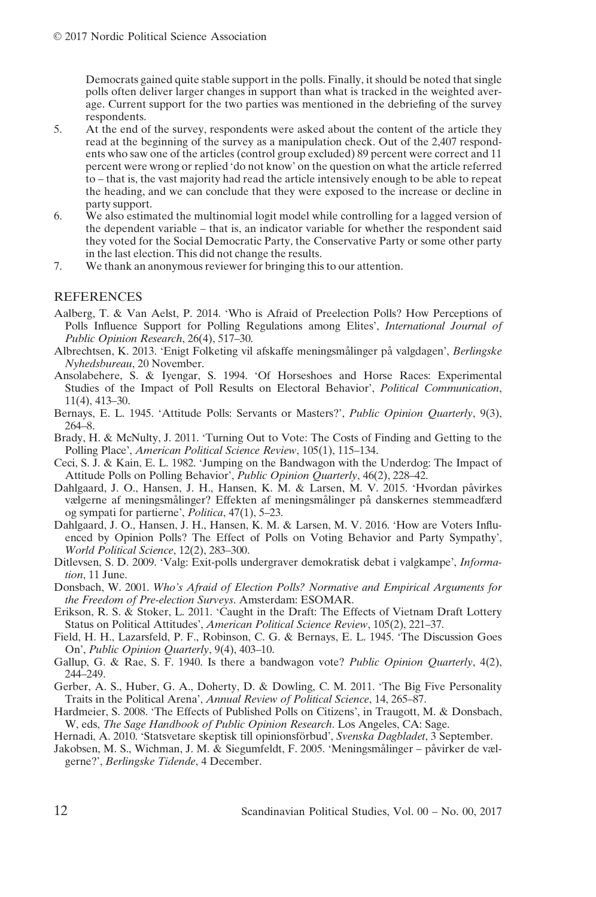Democrats gained quite stable support in the polls. Finally, it should be noted that single polls often deliver larger changes in support than what is tracked in the weighted average. Current support for the two parties was mentioned in the debriefing of the survey respondents.

- 5. At the end of the survey, respondents were asked about the content of the article they read at the beginning of the survey as a manipulation check. Out of the 2,407 respondents who saw one of the articles (control group excluded) 89 percent were correct and 11 percent were wrong or replied 'do not know' on the question on what the article referred to – that is, the vast majority had read the article intensively enough to be able to repeat the heading, and we can conclude that they were exposed to the increase or decline in party support.
- 6. We also estimated the multinomial logit model while controlling for a lagged version of the dependent variable – that is, an indicator variable for whether the respondent said they voted for the Social Democratic Party, the Conservative Party or some other party in the last election. This did not change the results.
- 7. We thank an anonymous reviewer for bringing this to our attention.

#### **REFERENCES**

- Aalberg, T. & Van Aelst, P. 2014. 'Who is Afraid of Preelection Polls? How Perceptions of Polls Influence Support for Polling Regulations among Elites', International Journal of Public Opinion Research, 26(4), 517–30.
- Albrechtsen, K. 2013. 'Enigt Folketing vil afskaffe meningsmålinger på valgdagen', Berlingske Nyhedsbureau, 20 November.
- Ansolabehere, S. & Iyengar, S. 1994. 'Of Horseshoes and Horse Races: Experimental Studies of the Impact of Poll Results on Electoral Behavior', Political Communication, 11(4), 413–30.
- Bernays, E. L. 1945. 'Attitude Polls: Servants or Masters?', Public Opinion Quarterly, 9(3), 264–8.
- Brady, H. & McNulty, J. 2011. 'Turning Out to Vote: The Costs of Finding and Getting to the Polling Place', American Political Science Review, 105(1), 115–134.
- Ceci, S. J. & Kain, E. L. 1982. 'Jumping on the Bandwagon with the Underdog: The Impact of Attitude Polls on Polling Behavior', Public Opinion Quarterly, 46(2), 228–42.
- Dahlgaard, J. O., Hansen, J. H., Hansen, K. M. & Larsen, M. V. 2015. 'Hvordan påvirkes vælgerne af meningsmålinger? Effekten af meningsmålinger på danskernes stemmeadfærd og sympati for partierne', Politica, 47(1), 5–23.
- Dahlgaard, J. O., Hansen, J. H., Hansen, K. M. & Larsen, M. V. 2016. 'How are Voters Influenced by Opinion Polls? The Effect of Polls on Voting Behavior and Party Sympathy', World Political Science, 12(2), 283–300.
- Ditlevsen, S. D. 2009. 'Valg: Exit-polls undergraver demokratisk debat i valgkampe', Information, 11 June.
- Donsbach, W. 2001. Who's Afraid of Election Polls? Normative and Empirical Arguments for the Freedom of Pre-election Surveys. Amsterdam: ESOMAR.
- Erikson, R. S. & Stoker, L. 2011. 'Caught in the Draft: The Effects of Vietnam Draft Lottery Status on Political Attitudes', American Political Science Review, 105(2), 221–37.
- Field, H. H., Lazarsfeld, P. F., Robinson, C. G. & Bernays, E. L. 1945. 'The Discussion Goes On', Public Opinion Quarterly, 9(4), 403–10.
- Gallup, G. & Rae, S. F. 1940. Is there a bandwagon vote? Public Opinion Quarterly, 4(2), 244–249.
- Gerber, A. S., Huber, G. A., Doherty, D. & Dowling, C. M. 2011. 'The Big Five Personality Traits in the Political Arena', Annual Review of Political Science, 14, 265–87.
- Hardmeier, S. 2008. 'The Effects of Published Polls on Citizens', in Traugott, M. & Donsbach, W, eds, The Sage Handbook of Public Opinion Research. Los Angeles, CA: Sage.
- Hernadi, A. 2010. 'Statsvetare skeptisk till opinionsförbud', Svenska Dagbladet, 3 September.
- Jakobsen, M. S., Wichman, J. M. & Siegumfeldt, F. 2005. 'Meningsmålinger påvirker de vælgerne?', Berlingske Tidende, 4 December.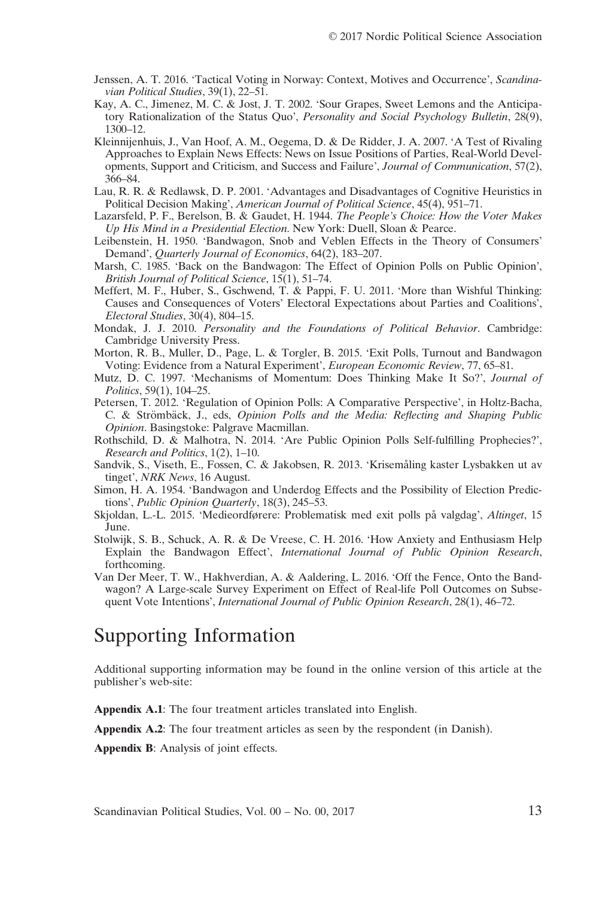- Jenssen, A. T. 2016. 'Tactical Voting in Norway: Context, Motives and Occurrence', Scandinavian Political Studies, 39(1), 22–51.
- Kay, A. C., Jimenez, M. C. & Jost, J. T. 2002. 'Sour Grapes, Sweet Lemons and the Anticipatory Rationalization of the Status Quo', Personality and Social Psychology Bulletin, 28(9), 1300–12.
- Kleinnijenhuis, J., Van Hoof, A. M., Oegema, D. & De Ridder, J. A. 2007. 'A Test of Rivaling Approaches to Explain News Effects: News on Issue Positions of Parties, Real-World Developments, Support and Criticism, and Success and Failure', Journal of Communication, 57(2), 366–84.
- Lau, R. R. & Redlawsk, D. P. 2001. 'Advantages and Disadvantages of Cognitive Heuristics in Political Decision Making', American Journal of Political Science, 45(4), 951–71.
- Lazarsfeld, P. F., Berelson, B. & Gaudet, H. 1944. The People's Choice: How the Voter Makes Up His Mind in a Presidential Election. New York: Duell, Sloan & Pearce.
- Leibenstein, H. 1950. 'Bandwagon, Snob and Veblen Effects in the Theory of Consumers' Demand', Quarterly Journal of Economics, 64(2), 183–207.
- Marsh, C. 1985. 'Back on the Bandwagon: The Effect of Opinion Polls on Public Opinion', British Journal of Political Science, 15(1), 51–74.
- Meffert, M. F., Huber, S., Gschwend, T. & Pappi, F. U. 2011. 'More than Wishful Thinking: Causes and Consequences of Voters' Electoral Expectations about Parties and Coalitions', Electoral Studies, 30(4), 804–15.
- Mondak, J. J. 2010. Personality and the Foundations of Political Behavior. Cambridge: Cambridge University Press.
- Morton, R. B., Muller, D., Page, L. & Torgler, B. 2015. 'Exit Polls, Turnout and Bandwagon Voting: Evidence from a Natural Experiment', European Economic Review, 77, 65–81.
- Mutz, D. C. 1997. 'Mechanisms of Momentum: Does Thinking Make It So?', Journal of Politics, 59(1), 104–25.
- Petersen, T. 2012. 'Regulation of Opinion Polls: A Comparative Perspective', in Holtz-Bacha, C. & Strömbäck, J., eds, Opinion Polls and the Media: Reflecting and Shaping Public Opinion. Basingstoke: Palgrave Macmillan.
- Rothschild, D. & Malhotra, N. 2014. 'Are Public Opinion Polls Self-fulfilling Prophecies?', Research and Politics, 1(2), 1–10.
- Sandvik, S., Viseth, E., Fossen, C. & Jakobsen, R. 2013. 'Krisemåling kaster Lysbakken ut av tinget', NRK News, 16 August.
- Simon, H. A. 1954. 'Bandwagon and Underdog Effects and the Possibility of Election Predictions', Public Opinion Quarterly, 18(3), 245–53.
- Skjoldan, L.-L. 2015. 'Medieordførere: Problematisk med exit polls på valgdag', Altinget, 15 June.
- Stolwijk, S. B., Schuck, A. R. & De Vreese, C. H. 2016. 'How Anxiety and Enthusiasm Help Explain the Bandwagon Effect', International Journal of Public Opinion Research, forthcoming.
- Van Der Meer, T. W., Hakhverdian, A. & Aaldering, L. 2016. 'Off the Fence, Onto the Bandwagon? A Large-scale Survey Experiment on Effect of Real-life Poll Outcomes on Subsequent Vote Intentions', *International Journal of Public Opinion Research*, 28(1), 46–72.

### Supporting Information

Additional supporting information may be found in the online version of this article at the publisher's web-site:

Appendix A.1: The four treatment articles translated into English.

Appendix A.2: The four treatment articles as seen by the respondent (in Danish).

Appendix B: Analysis of joint effects.